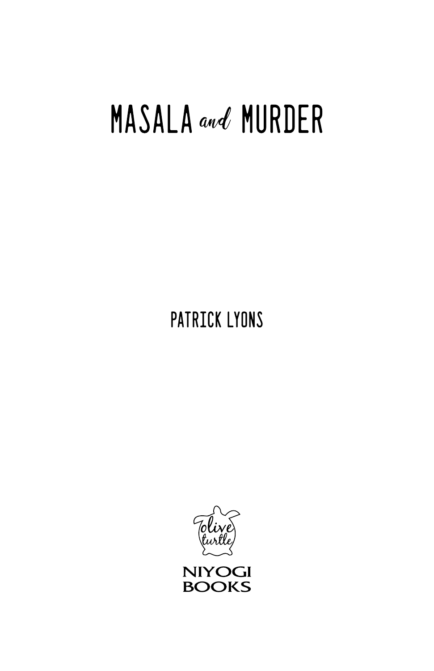# MASALA and MURDER

## **PATRICK LYONS**



**NIYOGI BOOKS**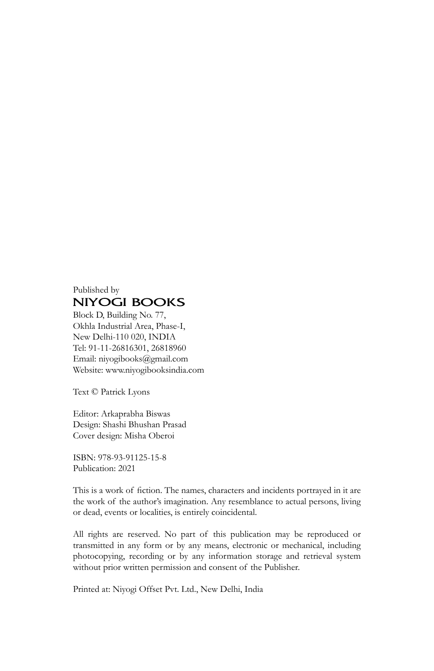#### Published by **NIYOGI BOOKS**

Block D, Building No. 77, Okhla Industrial Area, Phase-I, New Delhi-110 020, INDIA Tel: 91-11-26816301, 26818960 Email: niyogibooks@gmail.com Website: www.niyogibooksindia.com

Text © Patrick Lyons

Editor: Arkaprabha Biswas Design: Shashi Bhushan Prasad Cover design: Misha Oberoi

ISBN: 978-93-91125-15-8 Publication: 2021

This is a work of fiction. The names, characters and incidents portrayed in it are the work of the author's imagination. Any resemblance to actual persons, living or dead, events or localities, is entirely coincidental.

All rights are reserved. No part of this publication may be reproduced or transmitted in any form or by any means, electronic or mechanical, including photocopying, recording or by any information storage and retrieval system without prior written permission and consent of the Publisher.

Printed at: Niyogi Offset Pvt. Ltd., New Delhi, India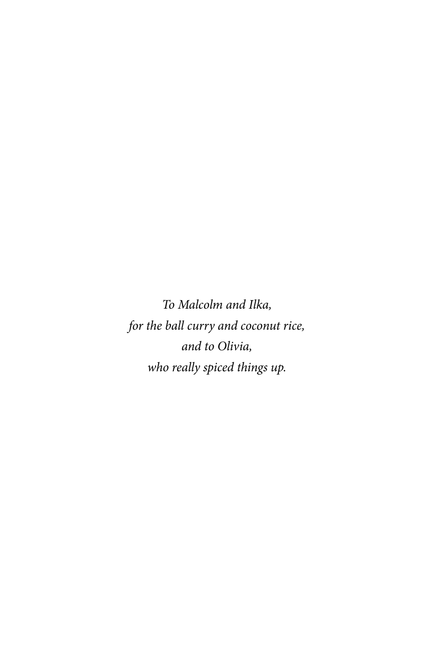*To Malcolm and Ilka, for the ball curry and coconut rice, and to Olivia, who really spiced things up.*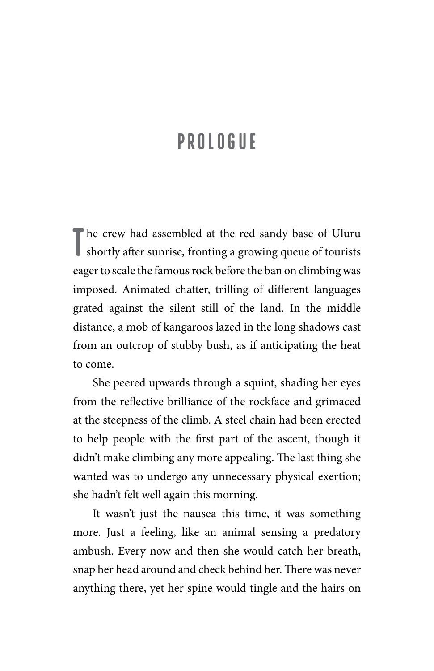### **Prologue**

The crew had assembled at the red sandy base of Uluru shortly after sunrise, fronting a growing queue of tourists The crew had assembled at the red sandy base of Uluru eager to scale the famous rock before the ban on climbing was imposed. Animated chatter, trilling of different languages grated against the silent still of the land. In the middle distance, a mob of kangaroos lazed in the long shadows cast from an outcrop of stubby bush, as if anticipating the heat to come.

She peered upwards through a squint, shading her eyes from the reflective brilliance of the rockface and grimaced at the steepness of the climb. A steel chain had been erected to help people with the first part of the ascent, though it didn't make climbing any more appealing. The last thing she wanted was to undergo any unnecessary physical exertion; she hadn't felt well again this morning.

It wasn't just the nausea this time, it was something more. Just a feeling, like an animal sensing a predatory ambush. Every now and then she would catch her breath, snap her head around and check behind her. There was never anything there, yet her spine would tingle and the hairs on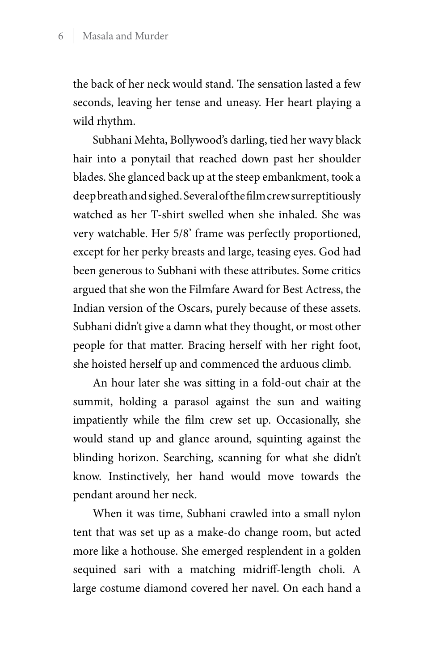the back of her neck would stand. The sensation lasted a few seconds, leaving her tense and uneasy. Her heart playing a wild rhythm.

Subhani Mehta, Bollywood's darling, tied her wavy black hair into a ponytail that reached down past her shoulder blades. She glanced back up at the steep embankment, took a deep breath and sighed. Several of the film crew surreptitiously watched as her T-shirt swelled when she inhaled. She was very watchable. Her 5/8' frame was perfectly proportioned, except for her perky breasts and large, teasing eyes. God had been generous to Subhani with these attributes. Some critics argued that she won the Filmfare Award for Best Actress, the Indian version of the Oscars, purely because of these assets. Subhani didn't give a damn what they thought, or most other people for that matter. Bracing herself with her right foot, she hoisted herself up and commenced the arduous climb.

An hour later she was sitting in a fold-out chair at the summit, holding a parasol against the sun and waiting impatiently while the film crew set up. Occasionally, she would stand up and glance around, squinting against the blinding horizon. Searching, scanning for what she didn't know. Instinctively, her hand would move towards the pendant around her neck.

When it was time, Subhani crawled into a small nylon tent that was set up as a make-do change room, but acted more like a hothouse. She emerged resplendent in a golden sequined sari with a matching midriff-length choli. A large costume diamond covered her navel. On each hand a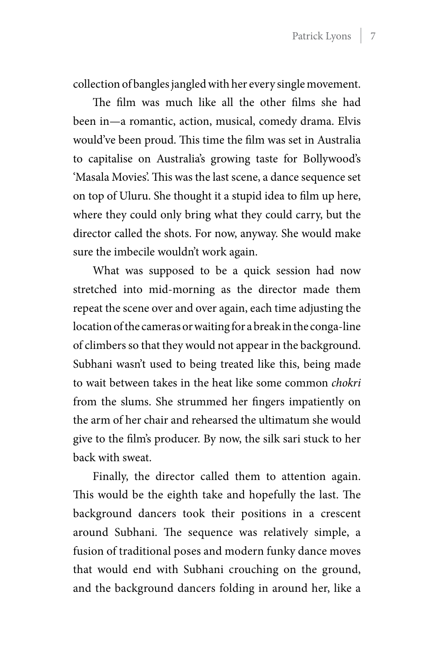collection of bangles jangled with her every single movement.

The film was much like all the other films she had been in—a romantic, action, musical, comedy drama. Elvis would've been proud. This time the film was set in Australia to capitalise on Australia's growing taste for Bollywood's 'Masala Movies'. This was the last scene, a dance sequence set on top of Uluru. She thought it a stupid idea to film up here, where they could only bring what they could carry, but the director called the shots. For now, anyway. She would make sure the imbecile wouldn't work again.

What was supposed to be a quick session had now stretched into mid-morning as the director made them repeat the scene over and over again, each time adjusting the location of the cameras or waiting for a break in the conga-line of climbers so that they would not appear in the background. Subhani wasn't used to being treated like this, being made to wait between takes in the heat like some common *chokri*  from the slums. She strummed her fingers impatiently on the arm of her chair and rehearsed the ultimatum she would give to the film's producer. By now, the silk sari stuck to her back with sweat.

Finally, the director called them to attention again. This would be the eighth take and hopefully the last. The background dancers took their positions in a crescent around Subhani. The sequence was relatively simple, a fusion of traditional poses and modern funky dance moves that would end with Subhani crouching on the ground, and the background dancers folding in around her, like a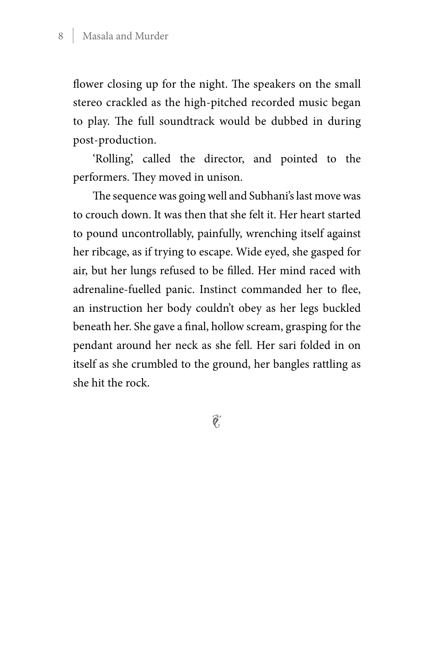flower closing up for the night. The speakers on the small stereo crackled as the high-pitched recorded music began to play. The full soundtrack would be dubbed in during post-production.

'Rolling', called the director, and pointed to the performers. They moved in unison.

The sequence was going well and Subhani's last move was to crouch down. It was then that she felt it. Her heart started to pound uncontrollably, painfully, wrenching itself against her ribcage, as if trying to escape. Wide eyed, she gasped for air, but her lungs refused to be filled. Her mind raced with adrenaline-fuelled panic. Instinct commanded her to flee, an instruction her body couldn't obey as her legs buckled beneath her. She gave a final, hollow scream, grasping for the pendant around her neck as she fell. Her sari folded in on itself as she crumbled to the ground, her bangles rattling as she hit the rock.

 $\hat{\mathbf{e}}$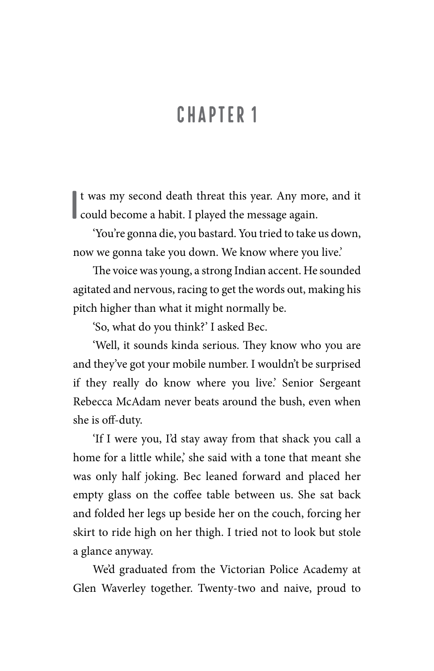#### **Chapter 1**

If was my second death threat this year. Any more could become a habit. I played the message again. t was my second death threat this year. Any more, and it

'You're gonna die, you bastard. You tried to take us down, now we gonna take you down. We know where you live.'

The voice was young, a strong Indian accent. He sounded agitated and nervous, racing to get the words out, making his pitch higher than what it might normally be.

'So, what do you think?' I asked Bec.

'Well, it sounds kinda serious. They know who you are and they've got your mobile number. I wouldn't be surprised if they really do know where you live.' Senior Sergeant Rebecca McAdam never beats around the bush, even when she is off-duty.

'If I were you, I'd stay away from that shack you call a home for a little while,' she said with a tone that meant she was only half joking. Bec leaned forward and placed her empty glass on the coffee table between us. She sat back and folded her legs up beside her on the couch, forcing her skirt to ride high on her thigh. I tried not to look but stole a glance anyway.

We'd graduated from the Victorian Police Academy at Glen Waverley together. Twenty-two and naive, proud to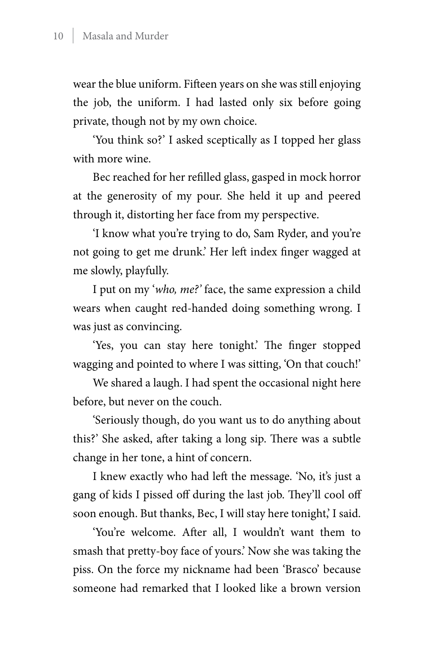wear the blue uniform. Fifteen years on she was still enjoying the job, the uniform. I had lasted only six before going private, though not by my own choice.

'You think so?' I asked sceptically as I topped her glass with more wine.

Bec reached for her refilled glass, gasped in mock horror at the generosity of my pour. She held it up and peered through it, distorting her face from my perspective.

'I know what you're trying to do, Sam Ryder, and you're not going to get me drunk.' Her left index finger wagged at me slowly, playfully.

I put on my '*who, me?'* face, the same expression a child wears when caught red-handed doing something wrong. I was just as convincing.

'Yes, you can stay here tonight.' The finger stopped wagging and pointed to where I was sitting, 'On that couch!'

We shared a laugh. I had spent the occasional night here before, but never on the couch.

'Seriously though, do you want us to do anything about this?' She asked, after taking a long sip. There was a subtle change in her tone, a hint of concern.

I knew exactly who had left the message. 'No, it's just a gang of kids I pissed off during the last job. They'll cool off soon enough. But thanks, Bec, I will stay here tonight,' I said.

'You're welcome. After all, I wouldn't want them to smash that pretty-boy face of yours.' Now she was taking the piss. On the force my nickname had been 'Brasco' because someone had remarked that I looked like a brown version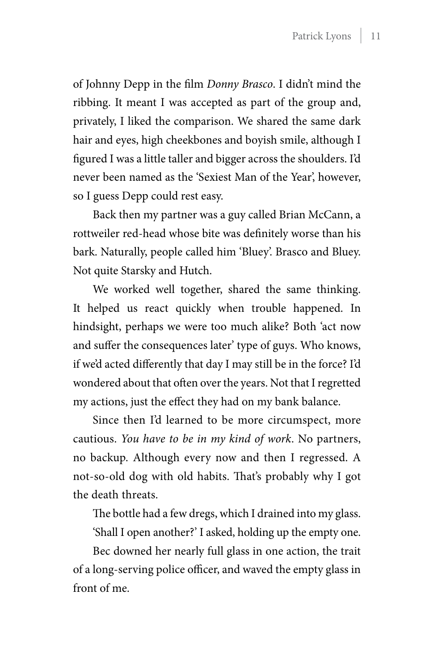of Johnny Depp in the film *Donny Brasco*. I didn't mind the ribbing. It meant I was accepted as part of the group and, privately, I liked the comparison. We shared the same dark hair and eyes, high cheekbones and boyish smile, although I figured I was a little taller and bigger across the shoulders. I'd never been named as the 'Sexiest Man of the Year', however, so I guess Depp could rest easy.

Back then my partner was a guy called Brian McCann, a rottweiler red-head whose bite was definitely worse than his bark. Naturally, people called him 'Bluey'. Brasco and Bluey. Not quite Starsky and Hutch.

We worked well together, shared the same thinking. It helped us react quickly when trouble happened. In hindsight, perhaps we were too much alike? Both 'act now and suffer the consequences later' type of guys. Who knows, if we'd acted differently that day I may still be in the force? I'd wondered about that often over the years. Not that I regretted my actions, just the effect they had on my bank balance.

Since then I'd learned to be more circumspect, more cautious. *You have to be in my kind of work*. No partners, no backup. Although every now and then I regressed. A not-so-old dog with old habits. That's probably why I got the death threats.

The bottle had a few dregs, which I drained into my glass.

'Shall I open another?' I asked, holding up the empty one.

Bec downed her nearly full glass in one action, the trait of a long-serving police officer, and waved the empty glass in front of me.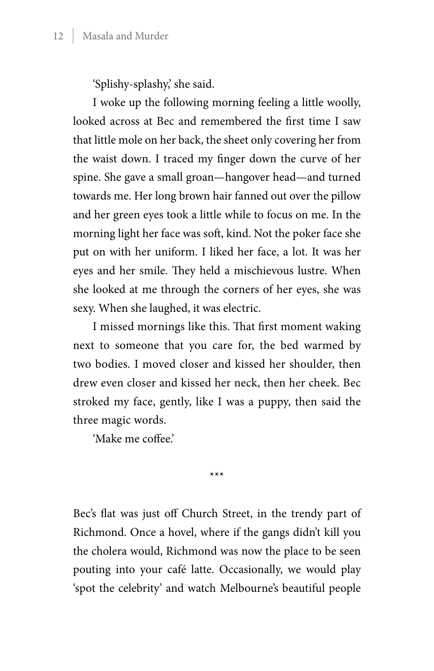'Splishy-splashy,' she said.

I woke up the following morning feeling a little woolly, looked across at Bec and remembered the first time I saw that little mole on her back, the sheet only covering her from the waist down. I traced my finger down the curve of her spine. She gave a small groan—hangover head—and turned towards me. Her long brown hair fanned out over the pillow and her green eyes took a little while to focus on me. In the morning light her face was soft, kind. Not the poker face she put on with her uniform. I liked her face, a lot. It was her eyes and her smile. They held a mischievous lustre. When she looked at me through the corners of her eyes, she was sexy. When she laughed, it was electric.

I missed mornings like this. That first moment waking next to someone that you care for, the bed warmed by two bodies. I moved closer and kissed her shoulder, then drew even closer and kissed her neck, then her cheek. Bec stroked my face, gently, like I was a puppy, then said the three magic words.

'Make me coffee'

\*\*\*

Bec's flat was just off Church Street, in the trendy part of Richmond. Once a hovel, where if the gangs didn't kill you the cholera would, Richmond was now the place to be seen pouting into your café latte. Occasionally, we would play 'spot the celebrity' and watch Melbourne's beautiful people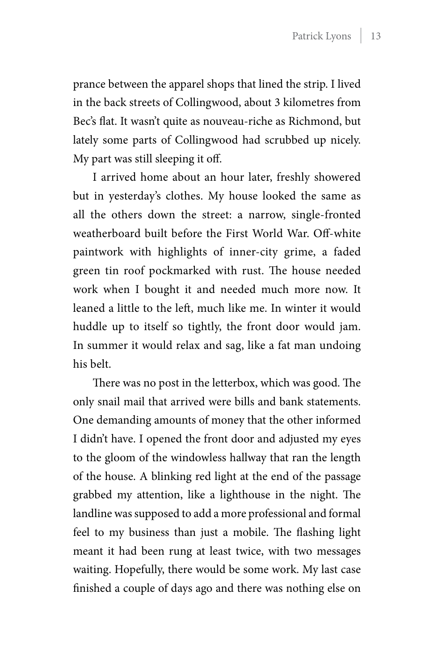prance between the apparel shops that lined the strip. I lived in the back streets of Collingwood, about 3 kilometres from Bec's flat. It wasn't quite as nouveau-riche as Richmond, but lately some parts of Collingwood had scrubbed up nicely. My part was still sleeping it off.

I arrived home about an hour later, freshly showered but in yesterday's clothes. My house looked the same as all the others down the street: a narrow, single-fronted weatherboard built before the First World War. Off-white paintwork with highlights of inner-city grime, a faded green tin roof pockmarked with rust. The house needed work when I bought it and needed much more now. It leaned a little to the left, much like me. In winter it would huddle up to itself so tightly, the front door would jam. In summer it would relax and sag, like a fat man undoing his belt.

There was no post in the letterbox, which was good. The only snail mail that arrived were bills and bank statements. One demanding amounts of money that the other informed I didn't have. I opened the front door and adjusted my eyes to the gloom of the windowless hallway that ran the length of the house. A blinking red light at the end of the passage grabbed my attention, like a lighthouse in the night. The landline was supposed to add a more professional and formal feel to my business than just a mobile. The flashing light meant it had been rung at least twice, with two messages waiting. Hopefully, there would be some work. My last case finished a couple of days ago and there was nothing else on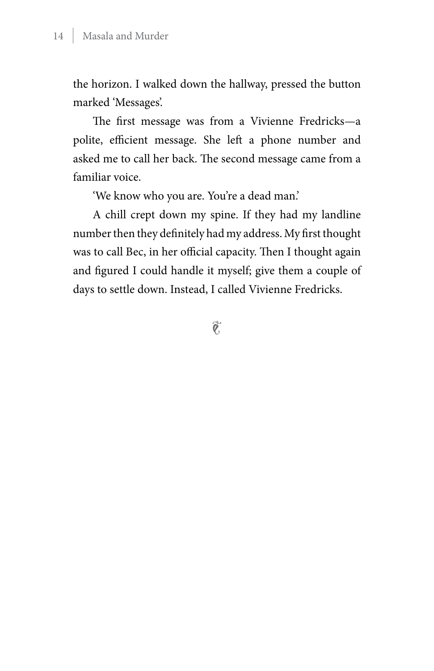the horizon. I walked down the hallway, pressed the button marked 'Messages'.

The first message was from a Vivienne Fredricks—a polite, efficient message. She left a phone number and asked me to call her back. The second message came from a familiar voice.

'We know who you are. You're a dead man.'

A chill crept down my spine. If they had my landline number then they definitely had my address. My first thought was to call Bec, in her official capacity. Then I thought again and figured I could handle it myself; give them a couple of days to settle down. Instead, I called Vivienne Fredricks.

 $\hat{\vec{Q}}$